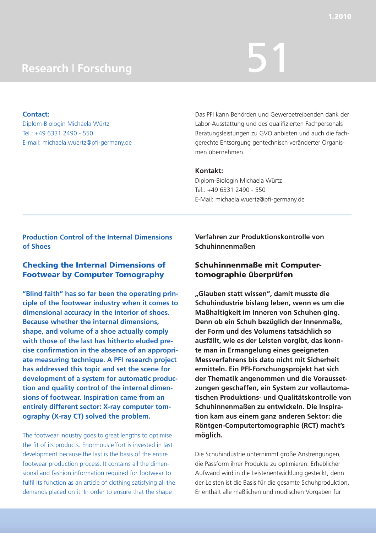#### **Contact:**

Diplom-Biologin Michaela Würtz Tel.: +49 6331 2490 - 550 E-mail: michaela.wuertz@pfi-germany.de

Das PFI kann Behörden und Gewerbetreibenden dank der Labor-Ausstattung und des qualifizierten Fachpersonals Beratungsleistungen zu GVO anbieten und auch die fachgerechte Entsorgung gentechnisch veränderter Organismen übernehmen.

### **Kontakt:**

Diplom-Biologin Michaela Würtz Tel.: +49 6331 2490 - 550 E-Mail: michaela.wuertz@pfi-germany.de

### **Production Control of the Internal Dimensions of Shoes**

### Checking the Internal Dimensions of Footwear by Computer Tomography

**"Blind faith" has so far been the operating principle of the footwear industry when it comes to dimensional accuracy in the interior of shoes. Because whether the internal dimensions, shape, and volume of a shoe actually comply with those of the last has hitherto eluded precise confirmation in the absence of an appropriate measuring technique. A PFI research project has addressed this topic and set the scene for development of a system for automatic production and quality control of the internal dimensions of footwear. Inspiration came from an entirely different sector: X-ray computer tomography (X-ray CT) solved the problem.**

The footwear industry goes to great lengths to optimise the fit of its products. Enormous effort is invested in last development because the last is the basis of the entire footwear production process. It contains all the dimensional and fashion information required for footwear to fulfil its function as an article of clothing satisfying all the demands placed on it. In order to ensure that the shape

### **Verfahren zur Produktionskontrolle von Schuhinnenmaßen**

### Schuhinnenmaße mit Computertomographie überprüfen

**"Glauben statt wissen", damit musste die Schuhindustrie bislang leben, wenn es um die Maßhaltigkeit im Inneren von Schuhen ging. Denn ob ein Schuh bezüglich der Innenmaße, der Form und des Volumens tatsächlich so ausfällt, wie es der Leisten vorgibt, das konnte man in Ermangelung eines geeigneten Messverfahrens bis dato nicht mit Sicherheit ermitteln. Ein PFI-Forschungsprojekt hat sich der Thematik angenommen und die Voraussetzungen geschaffen, ein System zur vollautomatischen Produktions- und Qualitätskontrolle von Schuhinnenmaßen zu entwickeln. Die Inspiration kam aus einem ganz anderen Sektor: die Röntgen-Computertomographie (RCT) macht's möglich.**

Die Schuhindustrie unternimmt große Anstrengungen, die Passform ihrer Produkte zu optimieren. Erheblicher Aufwand wird in die Leistenentwicklung gesteckt, denn der Leisten ist die Basis für die gesamte Schuhproduktion. Er enthält alle maßlichen und modischen Vorgaben für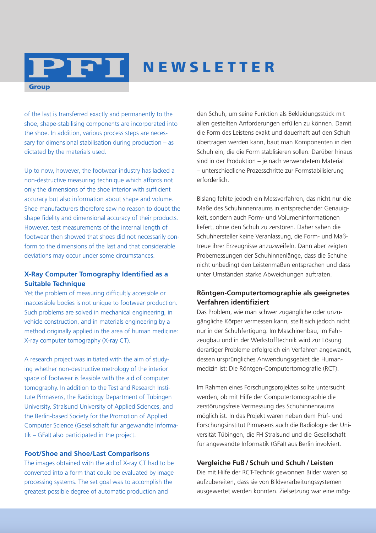## NEWSLETTER

of the last is transferred exactly and permanently to the shoe, shape-stabilising components are incorporated into the shoe. In addition, various process steps are necessary for dimensional stabilisation during production – as dictated by the materials used.

PFI

**Group** 

Up to now, however, the footwear industry has lacked a non-destructive measuring technique which affords not only the dimensions of the shoe interior with sufficient accuracy but also information about shape and volume. Shoe manufacturers therefore saw no reason to doubt the shape fidelity and dimensional accuracy of their products. However, test measurements of the internal length of footwear then showed that shoes did not necessarily conform to the dimensions of the last and that considerable deviations may occur under some circumstances.

### **X-Ray Computer Tomography Identified as a Suitable Technique**

Yet the problem of measuring difficultly accessible or inaccessible bodies is not unique to footwear production. Such problems are solved in mechanical engineering, in vehicle construction, and in materials engineering by a method originally applied in the area of human medicine: X-ray computer tomography (X-ray CT).

A research project was initiated with the aim of studying whether non-destructive metrology of the interior space of footwear is feasible with the aid of computer tomography. In addition to the Test and Research Institute Pirmasens, the Radiology Department of Tübingen University, Stralsund University of Applied Sciences, and the Berlin-based Society for the Promotion of Applied Computer Science (Gesellschaft für angewandte Informatik – GFaI) also participated in the project.

### **Foot/Shoe and Shoe/Last Comparisons**

The images obtained with the aid of X-ray CT had to be converted into a form that could be evaluated by image processing systems. The set goal was to accomplish the greatest possible degree of automatic production and

den Schuh, um seine Funktion als Bekleidungsstück mit allen gestellten Anforderungen erfüllen zu können. Damit die Form des Leistens exakt und dauerhaft auf den Schuh übertragen werden kann, baut man Komponenten in den Schuh ein, die die Form stablisieren sollen. Darüber hinaus sind in der Produktion – je nach verwendetem Material – unterschiedliche Prozesschritte zur Formstabilisierung erforderlich.

Bislang fehlte jedoch ein Messverfahren, das nicht nur die Maße des Schuhinnenraums in entsprechender Genauigkeit, sondern auch Form- und Volumeninformationen liefert, ohne den Schuh zu zerstören. Daher sahen die Schuhhersteller keine Veranlassung, die Form- und Maßtreue ihrer Erzeugnisse anzuzweifeln. Dann aber zeigten Probemessungen der Schuhinnenlänge, dass die Schuhe nicht unbedingt den Leistenmaßen entsprachen und dass unter Umständen starke Abweichungen auftraten.

### **Röntgen-Computertomographie als geeignetes Verfahren identifiziert**

Das Problem, wie man schwer zugängliche oder unzugängliche Körper vermessen kann, stellt sich jedoch nicht nur in der Schuhfertigung. Im Maschinenbau, im Fahrzeugbau und in der Werkstofftechnik wird zur Lösung derartiger Probleme erfolgreich ein Verfahren angewandt, dessen ursprüngliches Anwendungsgebiet die Humanmedizin ist: Die Röntgen-Computertomografie (RCT).

Im Rahmen eines Forschungsprojektes sollte untersucht werden, ob mit Hilfe der Computertomographie die zerstörungsfreie Vermessung des Schuhinnenraums möglich ist. In das Projekt waren neben dem Prüf- und Forschungsinstitut Pirmasens auch die Radiologie der Universität Tübingen, die FH Stralsund und die Gesellschaft für angewandte Informatik (GFaI) aus Berlin involviert.

### **Vergleiche Fuß / Schuh und Schuh / Leisten**

Die mit Hilfe der RCT-Technik gewonnen Bilder waren so aufzubereiten, dass sie von Bildverarbeitungssystemen ausgewertet werden konnten. Zielsetzung war eine mög-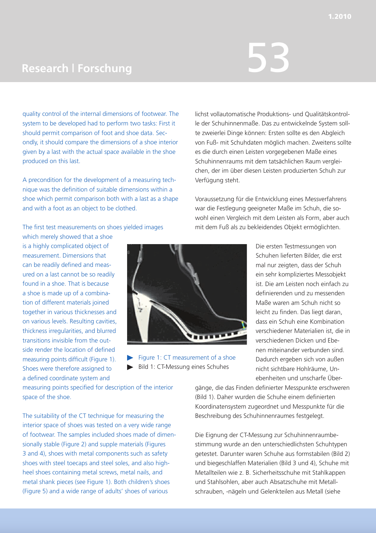quality control of the internal dimensions of footwear. The system to be developed had to perform two tasks: First it should permit comparison of foot and shoe data. Secondly, it should compare the dimensions of a shoe interior given by a last with the actual space available in the shoe produced on this last.

A precondition for the development of a measuring technique was the definition of suitable dimensions within a shoe which permit comparison both with a last as a shape and with a foot as an object to be clothed.

The first test measurements on shoes yielded images

lichst vollautomatische Produktions- und Qualitätskontrolle der Schuhinnenmaße. Das zu entwickelnde System sollte zweierlei Dinge können: Ersten sollte es den Abgleich von Fuß- mit Schuhdaten möglich machen. Zweitens sollte es die durch einen Leisten vorgegebenen Maße eines Schuhinnenraums mit dem tatsächlichen Raum vergleichen, der im über diesen Leisten produzierten Schuh zur Verfügung steht.

Voraussetzung für die Entwicklung eines Messverfahrens war die Festlegung geeigneter Maße im Schuh, die sowohl einen Vergleich mit dem Leisten als Form, aber auch mit dem Fuß als zu bekleidendes Objekt ermöglichten.

> Die ersten Testmessungen von Schuhen lieferten Bilder, die erst mal nur zeigten, dass der Schuh ein sehr kompliziertes Messobjekt ist. Die am Leisten noch einfach zu definierenden und zu messenden Maße waren am Schuh nicht so leicht zu finden. Das liegt daran, dass ein Schuh eine Kombination verschiedener Materialien ist, die in verschiedenen Dicken und Ebenen miteinander verbunden sind. Dadurch ergeben sich von außen nicht sichtbare Hohlräume, Unebenheiten und unscharfe Über-

measuring points specified for description of the interior space of the shoe.

transitions invisible from the outside render the location of defined

a defined coordinate system and

The suitability of the CT technique for measuring the interior space of shoes was tested on a very wide range of footwear. The samples included shoes made of dimensionally stable (Figure 2) and supple materials (Figures 3 and 4), shoes with metal components such as safety shoes with steel toecaps and steel soles, and also highheel shoes containing metal screws, metal nails, and metal shank pieces (see Figure 1). Both children's shoes (Figure 5) and a wide range of adults' shoes of various

Bild 1: CT-Messung eines Schuhes

gänge, die das Finden definierter Messpunkte erschweren (Bild 1). Daher wurden die Schuhe einem definierten Koordinatensystem zugeordnet und Messpunkte für die Beschreibung des Schuhinnenraumes festgelegt.

Die Eignung der CT-Messung zur Schuhinnenraumbestimmung wurde an den unterschiedlichsten Schuhtypen getestet. Darunter waren Schuhe aus formstabilen (Bild 2) und biegeschlaffen Materialien (Bild 3 und 4), Schuhe mit Metallteilen wie z. B. Sicherheitsschuhe mit Stahlkappen und Stahlsohlen, aber auch Absatzschuhe mit Metallschrauben, -nägeln und Gelenkteilen aus Metall (siehe



Figure 1: CT measurement of a shoe measuring points difficult (Figure 1).  $\blacktriangleright$  $\blacktriangleright$ Shoes were therefore assigned to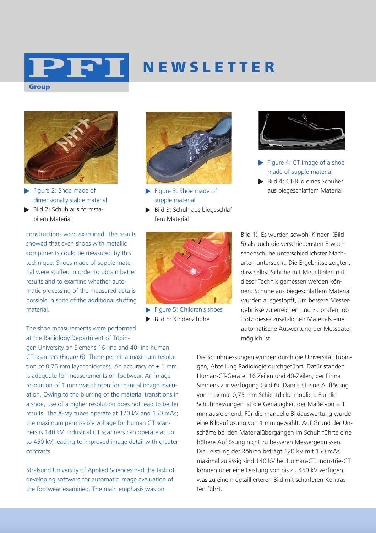

## NEWSLETTER



- Figure 2: Shoe made of dimensionally stable material  $\blacktriangleright$  Bild 2: Schuh aus formsta-
- bilem Material

constructions were examined. The results showed that even shoes with metallic components could be measured by this technique. Shoes made of supple material were stuffed in order to obtain better results and to examine whether automatic processing of the measured data is possible in spite of the additional stuffing material.



- Figure 3: Shoe made of supple material
- $\triangleright$  Bild 3: Schuh aus biegeschlaffem Material





- $\blacktriangleright$  Figure 4: CT image of a shoe made of supple material
- Bild 4: CT-Bild eines Schuhes aus biegeschlaffem Material



Figure 5: Children's shoes  $\blacktriangleright$  Bild 5: Kinderschuhe

Bild 1). Es wurden sowohl Kinder- (Bild 5) als auch die verschiedensten Erwachsenenschuhe unterschiedlichster Macharten untersucht. Die Ergebnisse zeigten, dass selbst Schuhe mit Metallteilen mit dieser Technik gemessen werden können. Schuhe aus biegeschlaffem Material wurden ausgestopft, um bessere Messergebnisse zu erreichen und zu prüfen, ob trotz dieses zusätzlichen Materials eine automatische Auswertung der Messdaten möglich ist.

The shoe measurements were performed at the Radiology Department of Tübin-

gen University on Siemens 16-line and 40-line human CT scanners (Figure 6). These permit a maximum resolution of 0.75 mm layer thickness. An accuracy of  $\pm$  1 mm is adequate for measurements on footwear. An image resolution of 1 mm was chosen for manual image evaluation. Owing to the blurring of the material transitions in a shoe, use of a higher resolution does not lead to better results. The X-ray tubes operate at 120 kV and 150 mAs; the maximum permissible voltage for human CT scanners is 140 kV. Industrial CT scanners can operate at up to 450 kV, leading to improved image detail with greater contrasts.

Stralsund University of Applied Sciences had the task of developing software for automatic image evaluation of the footwear examined. The main emphasis was on

Die Schuhmessungen wurden durch die Universität Tübingen, Abteilung Radiologie durchgeführt. Dafür standen Human-CT-Geräte, 16 Zeilen und 40-Zeilen, der Firma Siemens zur Verfügung (Bild 6). Damit ist eine Auflösung von maximal 0,75 mm Schichtdicke möglich. Für die Schuhmessungen ist die Genauigkeit der Maße von ± 1 mm ausreichend. Für die manuelle Bildauswertung wurde eine Bildauflösung von 1 mm gewählt. Auf Grund der Unschärfe bei den Materialübergängen im Schuh führte eine höhere Auflösung nicht zu besseren Messergebnissen. Die Leistung der Röhren beträgt 120 kV mit 150 mAs, maximal zulässig sind 140 kV bei Human-CT. Industrie-CT können über eine Leistung von bis zu 450 kV verfügen, was zu einem detaillierteren Bild mit schärferen Kontrasten führt.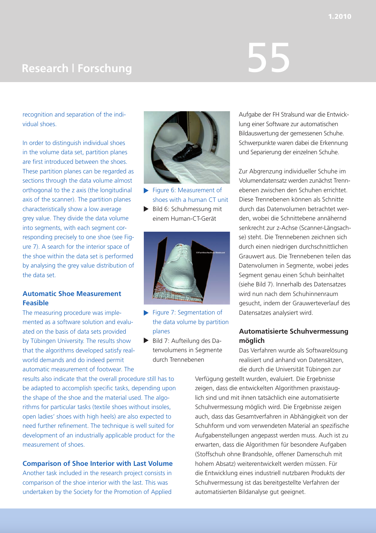recognition and separation of the individual shoes.

In order to distinguish individual shoes in the volume data set, partition planes are first introduced between the shoes. These partition planes can be regarded as sections through the data volume almost orthogonal to the z axis (the longitudinal axis of the scanner). The partition planes characteristically show a low average grey value. They divide the data volume into segments, with each segment corresponding precisely to one shoe (see Figure 7). A search for the interior space of the shoe within the data set is performed by analysing the grey value distribution of the data set.

### **Automatic Shoe Measurement Feasible**

The measuring procedure was implemented as a software solution and evaluated on the basis of data sets provided by Tübingen University. The results show that the algorithms developed satisfy realworld demands and do indeed permit automatic measurement of footwear. The

results also indicate that the overall procedure still has to be adapted to accomplish specific tasks, depending upon the shape of the shoe and the material used. The algorithms for particular tasks (textile shoes without insoles, open ladies' shoes with high heels) are also expected to need further refinement. The technique is well suited for development of an industrially applicable product for the measurement of shoes.

### **Comparison of Shoe Interior with Last Volume**

Another task included in the research project consists in comparison of the shoe interior with the last. This was undertaken by the Society for the Promotion of Applied



- Figure 6: Measurement of shoes with a human CT unit Bild 6: Schuhmessung mit
- einem Human-CT-Gerät



- Figure 7: Segmentation of the data volume by partition planes
- Bild 7: Aufteilung des Datenvolumens in Segmente durch Trennebenen

Aufgabe der FH Stralsund war die Entwicklung einer Software zur automatischen Bildauswertung der gemessenen Schuhe. Schwerpunkte waren dabei die Erkennung und Separierung der einzelnen Schuhe.

Zur Abgrenzung individueller Schuhe im Volumendatensatz werden zunächst Trennebenen zwischen den Schuhen errichtet. Diese Trennebenen können als Schnitte durch das Datenvolumen betrachtet werden, wobei die Schnittebene annähernd senkrecht zur z-Achse (Scanner-Längsachse) steht. Die Trennebenen zeichnen sich durch einen niedrigen durchschnittlichen Grauwert aus. Die Trennebenen teilen das Datenvolumen in Segmente, wobei jedes Segment genau einen Schuh beinhaltet (siehe Bild 7). Innerhalb des Datensatzes wird nun nach dem Schuhinnenraum gesucht, indem der Grauwerteverlauf des Datensatzes analysiert wird.

### **Automatisierte Schuhvermessung möglich**

Das Verfahren wurde als Softwarelösung realisiert und anhand von Datensätzen, die durch die Universität Tübingen zur

Verfügung gestellt wurden, evaluiert. Die Ergebnisse zeigen, dass die entwickelten Algorithmen praxistauglich sind und mit ihnen tatsächlich eine automatisierte Schuhvermessung möglich wird. Die Ergebnisse zeigen auch, dass das Gesamtverfahren in Abhängigkeit von der Schuhform und vom verwendeten Material an spezifische Aufgabenstellungen angepasst werden muss. Auch ist zu erwarten, dass die Algorithmen für besondere Aufgaben (Stoffschuh ohne Brandsohle, offener Damenschuh mit hohem Absatz) weiterentwickelt werden müssen. Für die Entwicklung eines industriell nutzbaren Produkts der Schuhvermessung ist das bereitgestellte Verfahren der automatisierten Bildanalyse gut geeignet.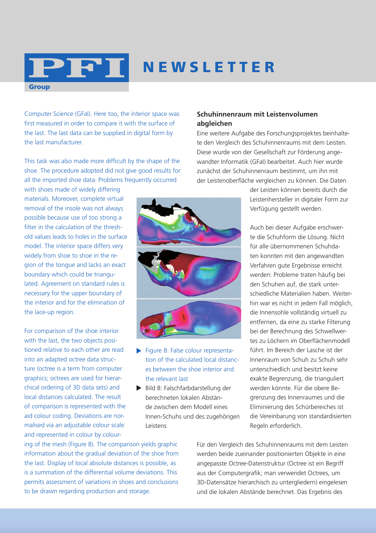## NEWSLETTER

Computer Science (GFaI). Here too, the interior space was first measured in order to compare it with the surface of the last. The last data can be supplied in digital form by the last manufacturer.

PFI

**Group** 

This task was also made more difficult by the shape of the shoe. The procedure adopted did not give good results for all the imported shoe data: Problems frequently occurred

with shoes made of widely differing materials. Moreover, complete virtual removal of the insole was not always possible because use of too strong a filter in the calculation of the threshold values leads to holes in the surface model. The interior space differs very widely from shoe to shoe in the region of the tongue and lacks an exact boundary which could be triangulated. Agreement on standard rules is necessary for the upper boundary of the interior and for the elimination of the lace-up region.

For comparison of the shoe interior with the last, the two objects positioned relative to each other are read into an adapted octree data structure (octree is a term from computer graphics; octrees are used for hierarchical ordering of 3D data sets) and local distances calculated. The result of comparison is represented with the aid colour coding. Deviations are normalised via an adjustable colour scale and represented in colour by colour-



- Figure 8: False colour representation of the calculated local distances between the shoe interior and the relevant last
- Bild 8: Falschfarbdarstellung der berechneten lokalen Abstände zwischen dem Modell eines Innen-Schuhs und des zugehörigen Leistens

### **Schuhinnenraum mit Leistenvolumen abgleichen**

Eine weitere Aufgabe des Forschungsprojektes beinhaltete den Vergleich des Schuhinnenraums mit dem Leisten. Diese wurde von der Gesellschaft zur Förderung angewandter Informatik (GFaI) bearbeitet. Auch hier wurde zunächst der Schuhinnenraum bestimmt, um ihn mit der Leistenoberfläche vergleichen zu können. Die Daten

> der Leisten können bereits durch die Leistenhersteller in digitaler Form zur Verfügung gestellt werden.

Auch bei dieser Aufgabe erschwerte die Schuhform die Lösung. Nicht für alle übernommenen Schuhdaten konnten mit den angewandten Verfahren gute Ergebnisse erreicht werden: Probleme traten häufig bei den Schuhen auf, die stark unterschiedliche Materialien haben. Weiterhin war es nicht in jedem Fall möglich, die Innensohle vollständig virtuell zu entfernen, da eine zu starke Filterung bei der Berechnung des Schwellwertes zu Löchern im Oberflächenmodell führt. Im Bereich der Lasche ist der Innenraum von Schuh zu Schuh sehr unterschiedlich und besitzt keine exakte Begrenzung, die trianguliert werden könnte. Für die obere Begrenzung des Innenraumes und die Eliminierung des Schürbereiches ist die Vereinbarung von standardisierten Regeln erforderlich.

ing of the mesh (Figure 8). The comparison yields graphic information about the gradual deviation of the shoe from the last. Display of local absolute distances is possible, as is a summation of the differential volume deviations. This permits assessment of variations in shoes and conclusions to be drawn regarding production and storage.

Für den Vergleich des Schuhinnenraums mit dem Leisten werden beide zueinander positionierten Objekte in eine angepasste Octree-Datenstruktur (Octree ist ein Begriff aus der Computergrafik; man verwendet Octrees, um 3D-Datensätze hierarchisch zu untergliedern) eingelesen und die lokalen Abstände berechnet. Das Ergebnis des